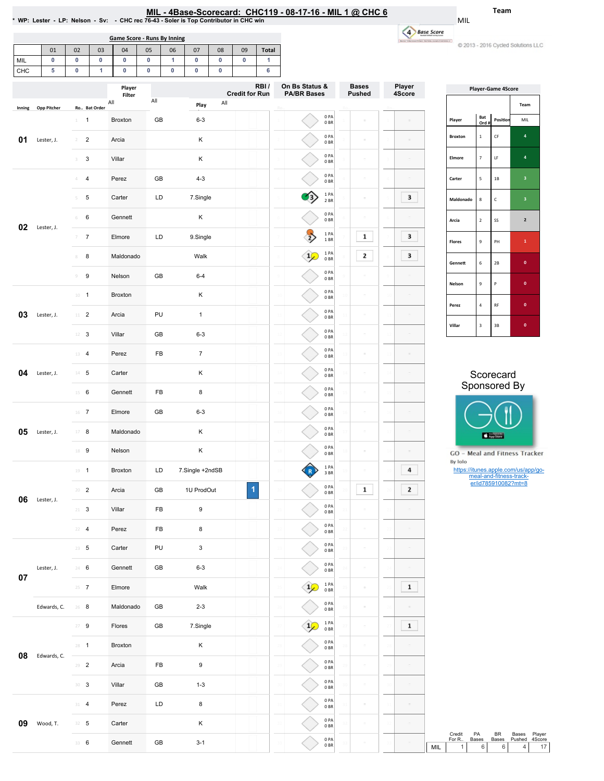## MIL - 4Base-Scorecard: CHC119 - 08-17-16 - MIL 1 @ CHC 6 يسب MIL - 4Base-Scorecard: CHC119 - 08-17-16 - MIL 1<br>\* WP: Lester - LP: Nelson - Sv: - CHC rec 76-43 - Soler is Top Contributor in CHC win

RBI/ **Credit for Run** 

1 1 Broxton GB 6-3

Player Filter All

2 2 Arcia K 3 3 Villar K

4 4 Perez GB 4-3

Inning Opp Pitcher Ro.. Bat Order

**01** Lester, J.

MIL CHC

All Play All

Team

C 2013 - 2016 Cycled Solutions LLC

MIL

|  | $\frac{1}{2}$ ison $\frac{1}{2}$ or $\frac{1}{2}$ . The rec $\frac{1}{2}$ or $\frac{1}{2}$ or $\frac{1}{2}$ or $\frac{1}{2}$ or $\frac{1}{2}$ or $\frac{1}{2}$ or $\frac{1}{2}$ |  |  |
|--|---------------------------------------------------------------------------------------------------------------------------------------------------------------------------------|--|--|
|  |                                                                                                                                                                                 |  |  |

0 0 0 0 0 0 1 0 0 0 1 5 0 1 0 0 0 0 0 0 6

|    |    |    |    | Game Score - Runs By Inning |    |    |      |
|----|----|----|----|-----------------------------|----|----|------|
| 01 | U3 | 04 | 05 | 06                          | 08 | 09 | otal |

0PA 0BR 0PA 0BR 0PA 0BR 0PA 0BR

Bases Pushed

> $\sim$  $\bar{\omega}$

Ro..

Player 4Score

4 Base Score  $\label{eq:1} \frac{1}{2}\sum_{i=1}^n\frac{1}{2}\sum_{i=1}^n\frac{1}{2}\sum_{i=1}^n\frac{1}{2}\sum_{i=1}^n\frac{1}{2}\sum_{i=1}^n\frac{1}{2}\sum_{i=1}^n\frac{1}{2}\sum_{i=1}^n\frac{1}{2}\sum_{i=1}^n\frac{1}{2}\sum_{i=1}^n\frac{1}{2}\sum_{i=1}^n\frac{1}{2}\sum_{i=1}^n\frac{1}{2}\sum_{i=1}^n\frac{1}{2}\sum_{i=1}^n\frac{1}{2}\sum_{i=1}^n\frac{$ 

On Bs Status &<br>PA/BR Bases

|                |                | <b>Player-Game 4Score</b> |                         |
|----------------|----------------|---------------------------|-------------------------|
|                |                |                           | Team                    |
| Player         | Bat<br>Ord#    | Position                  | MIL                     |
| <b>Broxton</b> | $\mathbf{1}$   | CF                        | 4                       |
| Elmore         | 7              | LF                        | $\overline{a}$          |
| Carter         | 5              | 1B                        | $\overline{\mathbf{3}}$ |
| Maldonado      | 8              | C                         | $\overline{\mathbf{3}}$ |
| Arcia          | $\overline{2}$ | SS                        | $\overline{2}$          |
| <b>Flores</b>  | 9              | PH                        | $\mathbf{1}$            |
| Gennett        | 6              | 2B                        | $\bf{0}$                |
| Nelson         | 9              | P                         | $\mathbf{0}$            |
| Perez          | $\overline{4}$ | <b>RF</b>                 | $\mathbf{0}$            |
|                |                |                           |                         |

|    |                | 5         | 5        | Carter    | LD | 7.Single                  |                      | 的                   | 1 PA<br>2 BR                         |                | $\mathbf 3$    |     | Maldonado                      | $\bf8$                  | $\mathsf{C}$            | $\,$ 3                              |
|----|----------------|-----------|----------|-----------|----|---------------------------|----------------------|---------------------|--------------------------------------|----------------|----------------|-----|--------------------------------|-------------------------|-------------------------|-------------------------------------|
| 02 | Lester, J.     | 6         | 6        | Gennett   |    | Κ                         |                      |                     | 0PA<br>0B                            | $\equiv$       |                |     | Arcia                          | $\overline{2}$          | SS                      | $\mathbf{2}$                        |
|    |                | $7-7$     |          | Elmore    | LD | 9.Single                  |                      | $\Rightarrow$       | 1PA<br>1 B R                         | $\mathbf{1}$   | з              |     | Flores                         | 9                       | PH                      | $\mathbf 1$                         |
|    |                | 8         | 8        | Maldonado |    | Walk                      |                      | $\frac{1}{2}$       | 1PA<br>0B                            | $\overline{2}$ | 3              |     | Gennett                        | $\,6\,$                 | $2B$                    | $\mathbf{0}$                        |
|    |                | 9         | 9        | Nelson    | GB | $6 - 4$                   |                      |                     | 0PA<br>0B                            | $\equiv$       |                |     | Nelson                         | 9                       | P                       | $\mathbf 0$                         |
|    |                | $10 - 1$  |          | Broxton   |    | Κ                         |                      |                     | 0PA<br>0B                            | $\equiv$       | $\equiv$       |     |                                |                         |                         |                                     |
| 03 | Lester, J.     | $11$ 2    |          | Arcia     | PU | $\mathbf{1}$              |                      |                     | 0PA<br>0B                            | $\sim$         |                |     | Perez                          | $\sqrt{4}$              | $\mathsf{RF}$           | $\mathbf{0}$                        |
|    |                | $12 \t3$  |          | Villar    | GB | $6 - 3$                   |                      |                     | 0PA<br>0B                            | $\bar{a}$      |                |     | Villar                         | $\overline{\mathbf{3}}$ | $3\mathsf{B}$           | $\mathbf{0}$                        |
|    |                | 13 4      |          | Perez     | FB | $\overline{7}$            |                      |                     | 0PA<br>0B                            | $\sim$         | $\equiv$       |     |                                |                         |                         |                                     |
| 04 | Lester, J.     | $14 - 5$  |          | Carter    |    | Κ                         |                      |                     | 0PA<br>0B                            | $\equiv$       |                |     |                                |                         | Scorecard               |                                     |
|    |                | $15 \t 6$ |          | Gennett   | FB | 8                         |                      |                     | 0PA<br>0B                            | $\equiv$       | $\equiv$       |     |                                |                         | Sponsored By            |                                     |
|    |                |           | $16$ 7   | Elmore    | GB | $6 - 3$                   |                      |                     | 0PA<br>0BR                           | $\equiv$       |                |     |                                |                         |                         |                                     |
| 05 | Lester, J.     | $17 - 8$  |          | Maldonado |    | Κ                         |                      |                     | 0PA<br>0B                            | $\equiv$       |                |     |                                |                         | App Store               |                                     |
|    |                | 18 9      |          | Nelson    |    | Κ                         |                      |                     | 0PA<br>0BR                           | $\sim$         |                |     |                                |                         |                         | GO - Meal and Fitness Tracker       |
|    |                | $19 - 1$  |          | Broxton   | LD | 7.Single +2ndSB           |                      |                     | 1 PA<br>3BR                          | $\equiv$       | 4              |     | By Iolo                        |                         | meal-and-fitness-track- | https://itunes.apple.com/us/app/go- |
|    |                |           | $20 - 2$ | Arcia     | GB | 1U ProdOut                | $\blacktriangleleft$ |                     | 0PA<br>0B                            | $\mathbf 1$    | $\overline{2}$ |     |                                |                         | er/id785910082?mt=8     |                                     |
| 06 | Lester, J.     | $21 - 3$  |          | Villar    | FB | $\boldsymbol{9}$          |                      |                     | 0PA<br>0B                            | $\equiv$       |                |     |                                |                         |                         |                                     |
|    |                | $22 - 4$  |          | Perez     | FB | 8                         |                      |                     | 0PA<br>0B                            | $\equiv$       |                |     |                                |                         |                         |                                     |
|    |                |           | $23 - 5$ | Carter    | PU | $\ensuremath{\mathsf{3}}$ |                      |                     | 0PA<br>0B                            | $\equiv$       |                |     |                                |                         |                         |                                     |
|    | Lester, J.     | 24 6      |          | Gennett   | GB | $6 - 3$                   |                      |                     | 0PA<br>0B                            | $\sim$         | $\equiv$       |     |                                |                         |                         |                                     |
| 07 |                | $25 \t 7$ |          | Elmore    |    | Walk                      |                      |                     | 1PA<br>0B                            | $\equiv$       | $\mathbf{1}$   |     |                                |                         |                         |                                     |
|    | Edwards, C.    | $26 - 8$  |          | Maldonado | GB | $2 - 3$                   |                      |                     | 0PA<br>0B                            | $\sim$         |                |     |                                |                         |                         |                                     |
|    |                | $27 - 9$  |          | Flores    | GB | 7.Single                  |                      | $\overline{1}$<br>✓ | 1 PA<br>0BR                          | $\equiv$       | $\mathbf 1$    |     |                                |                         |                         |                                     |
|    |                |           | $28 - 1$ | Broxton   |    | Κ                         |                      |                     | 0PA<br>0B                            |                |                |     |                                |                         |                         |                                     |
|    | 08 Edwards, C. | $29 - 2$  |          | Arcia     | FB | 9                         |                      |                     | 0PA<br>0B                            | $\equiv$       |                |     |                                |                         |                         |                                     |
|    |                | $30-3$    |          | Villar    | GB | $1 - 3$                   |                      |                     | 0PA<br>0B                            | $\equiv$       | $\equiv$       |     |                                |                         |                         |                                     |
|    |                | $31 - 4$  |          | Perez     | LD | 8                         |                      |                     | 0PA<br>0B                            | $\sim$         |                |     |                                |                         |                         |                                     |
| 09 | Wood, T.       | $32 - 5$  |          | Carter    |    | Κ                         |                      |                     | 0PA<br>0B                            | $\equiv$       |                |     |                                |                         |                         |                                     |
|    |                | 33 6      |          | Gennett   | GB | $3 - 1$                   |                      |                     | 0PA<br>$0\;\ensuremath{\mathsf{BR}}$ | $\equiv$       |                |     | Credit<br>PA<br>For R<br>Bases |                         | BR<br>Bases             | Bases<br>Player<br>Pushed<br>4Score |
|    |                |           |          |           |    |                           |                      |                     |                                      |                |                | MIL | 1                              | 6                       | 6                       | $\overline{4}$<br>17                |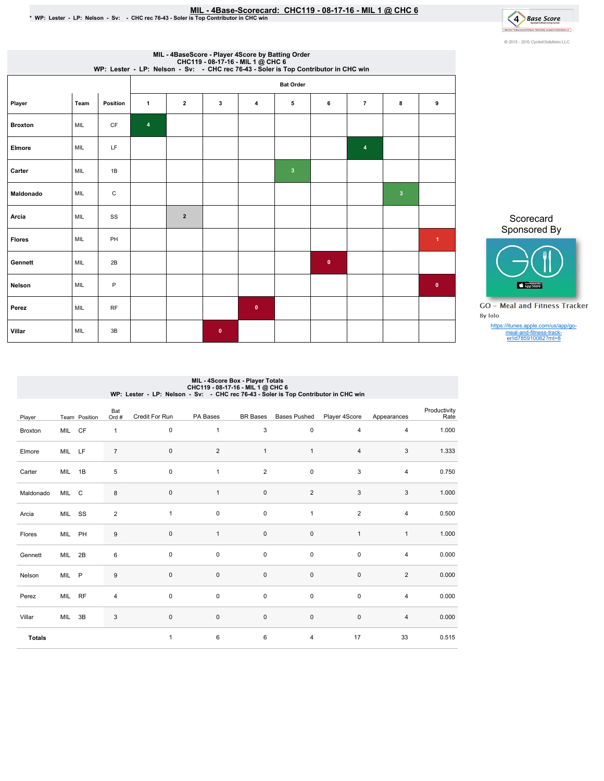## MIL - 4Base-Scorecard: CHC119 - 08-17-16 - MIL 1 @ CHC 6 \* . \* wP: Lester - LP: Nelson - Sv: - CHC rec 76-43 - Soler is Top Contributor in CHC win



|                | MIL - 4BaseScore - Player 4Score by Batting Order<br>CHC119 - 08-17-16 - MIL 1 @ CHC 6<br>WP: Lester - LP: Nelson - Sv: - CHC rec 76-43 - Soler is Top Contributor in CHC win |              |                         |                         |           |           |                         |              |                         |                         |           |  |  |  |
|----------------|-------------------------------------------------------------------------------------------------------------------------------------------------------------------------------|--------------|-------------------------|-------------------------|-----------|-----------|-------------------------|--------------|-------------------------|-------------------------|-----------|--|--|--|
|                | <b>Bat Order</b>                                                                                                                                                              |              |                         |                         |           |           |                         |              |                         |                         |           |  |  |  |
| Player         | Team                                                                                                                                                                          | Position     | $\mathbf{1}$            | $\overline{\mathbf{2}}$ | 3         | 4         | 5                       | 6            | $\overline{7}$          | 8                       | 9         |  |  |  |
| <b>Broxton</b> | <b>MIL</b>                                                                                                                                                                    | CF           | $\overline{\mathbf{4}}$ |                         |           |           |                         |              |                         |                         |           |  |  |  |
| Elmore         | MIL                                                                                                                                                                           | LF           |                         |                         |           |           |                         |              | $\overline{\mathbf{4}}$ |                         |           |  |  |  |
| Carter         | MIL                                                                                                                                                                           | 1B           |                         |                         |           |           | $\overline{\mathbf{3}}$ |              |                         |                         |           |  |  |  |
| Maldonado      | <b>MIL</b>                                                                                                                                                                    | $\mathsf{C}$ |                         |                         |           |           |                         |              |                         | $\overline{\mathbf{3}}$ |           |  |  |  |
| Arcia          | <b>MIL</b>                                                                                                                                                                    | SS           |                         | $\overline{2}$          |           |           |                         |              |                         |                         |           |  |  |  |
| <b>Flores</b>  | <b>MIL</b>                                                                                                                                                                    | PH           |                         |                         |           |           |                         |              |                         |                         | 1         |  |  |  |
| Gennett        | MIL                                                                                                                                                                           | 2B           |                         |                         |           |           |                         | $\mathbf{0}$ |                         |                         |           |  |  |  |
| Nelson         | MIL                                                                                                                                                                           | P            |                         |                         |           |           |                         |              |                         |                         | $\bullet$ |  |  |  |
| Perez          | MIL                                                                                                                                                                           | <b>RF</b>    |                         |                         |           | $\pmb{0}$ |                         |              |                         |                         |           |  |  |  |
| Villar         | MIL                                                                                                                                                                           | 3B           |                         |                         | $\pmb{0}$ |           |                         |              |                         |                         |           |  |  |  |

Scorecard Sponsored By



**GO** - Meal and Fitness Tracker By Iolo

https://itunes.apple.com/us/app/go-meal-and-fitness-track-er/id785910082?mt=8

# MIL - 4Score Box - Player Totals<br>CHC119 - 08-17-16 - MIL 1 @ CHC 19<br>WP: Lester - LP: Nelson - Sv: - CHC rec 76-43 - Soler is Top Contributor in CHC win

| Player        |        | Team Position | Bat<br>Ord #     | Credit For Run | PA Bases       | <b>BR</b> Bases | <b>Bases Pushed</b> | Player 4Score  | Appearances    | Productivity<br>Rate |
|---------------|--------|---------------|------------------|----------------|----------------|-----------------|---------------------|----------------|----------------|----------------------|
| Broxton       | MIL CF |               | $\overline{1}$   | 0              | $\mathbf{1}$   | 3               | $\mathbf 0$         | $\overline{4}$ | 4              | 1.000                |
| Elmore        | MIL LF |               | $\overline{7}$   | $\mathbf 0$    | $\overline{2}$ | $\mathbf{1}$    | $\mathbf{1}$        | $\overline{4}$ | 3              | 1.333                |
| Carter        | MIL    | 1B            | $\sqrt{5}$       | $\pmb{0}$      | $\mathbf{1}$   | $\overline{2}$  | $\pmb{0}$           | 3              | $\overline{4}$ | 0.750                |
| Maldonado     | MIL C  |               | 8                | $\pmb{0}$      | $\mathbf{1}$   | $\pmb{0}$       | $\overline{c}$      | $\mathbf{3}$   | $\mathbf{3}$   | 1.000                |
| Arcia         | MIL SS |               | $\overline{2}$   | $\mathbf{1}$   | 0              | $\mathsf 0$     | $\mathbf{1}$        | $\overline{2}$ | 4              | 0.500                |
| Flores        | MIL    | PH            | $9\,$            | 0              | $\mathbf{1}$   | $\mathsf 0$     | $\mathsf 0$         | $\mathbf{1}$   | $\mathbf{1}$   | 1.000                |
| Gennett       | MIL 2B |               | $\,6\,$          | $\pmb{0}$      | $\pmb{0}$      | $\mathsf 0$     | $\pmb{0}$           | $\mathsf 0$    | $\overline{4}$ | 0.000                |
| Nelson        | MIL P  |               | $\boldsymbol{9}$ | $\pmb{0}$      | $\pmb{0}$      | $\pmb{0}$       | $\pmb{0}$           | $\pmb{0}$      | $\overline{2}$ | 0.000                |
| Perez         | MIL RF |               | $\overline{4}$   | 0              | $\mathsf 0$    | $\pmb{0}$       | $\mathsf 0$         | $\pmb{0}$      | $\overline{4}$ | 0.000                |
| Villar        | MIL    | 3B            | $\mathbf{3}$     | 0              | $\mathbf 0$    | $\mathsf 0$     | $\pmb{0}$           | $\mathsf 0$    | 4              | 0.000                |
| <b>Totals</b> |        |               |                  | $\mathbf{1}$   | 6              | 6               | 4                   | 17             | 33             | 0.515                |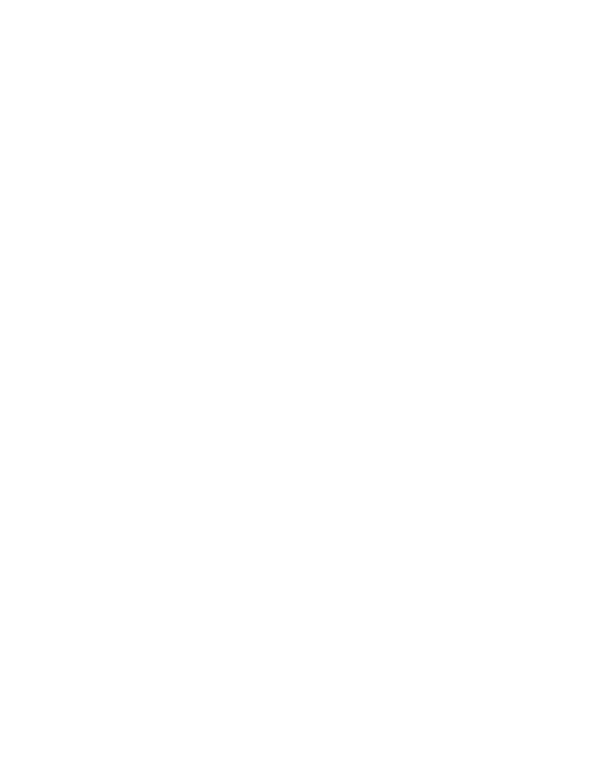|                  | 0,/ %DVH6FRUH 300 HU 6FRUHE\%DWMQJ2UGHU<br>$8+8$<br>: 3 / HVMMU / 3 1 HOVRQ 6Y & + & UHF 6ROHULY 7RS & ROMLEXWRULQ & + & ZLQ |                  |  |           |  |  |  |  |  |  |  |  |  |  |
|------------------|------------------------------------------------------------------------------------------------------------------------------|------------------|--|-----------|--|--|--|--|--|--|--|--|--|--|
|                  |                                                                                                                              |                  |  | %DW2 UGHU |  |  |  |  |  |  |  |  |  |  |
| 300 HU           | 7HDP                                                                                                                         | 3 RVLMRQ         |  |           |  |  |  |  |  |  |  |  |  |  |
| %UR[ WRQ         | $0 \sqrt{ }$                                                                                                                 | &)               |  |           |  |  |  |  |  |  |  |  |  |  |
| $($ $\oplus$ RUH | 0,                                                                                                                           | $\left( \right)$ |  |           |  |  |  |  |  |  |  |  |  |  |
| &DUMU            | 0,                                                                                                                           | $\%$             |  |           |  |  |  |  |  |  |  |  |  |  |
| 0 DOGRODGR       | $0 \sqrt{ }$                                                                                                                 | &                |  |           |  |  |  |  |  |  |  |  |  |  |
| \$UFLD           | $0 \sqrt{ }$                                                                                                                 | 66               |  |           |  |  |  |  |  |  |  |  |  |  |
| ) <b>ORUHV</b>   | $0 \sqrt{ }$                                                                                                                 | $3+$             |  |           |  |  |  |  |  |  |  |  |  |  |
| * HQQHWV         | 0,                                                                                                                           | $\%$             |  |           |  |  |  |  |  |  |  |  |  |  |
| 1 HOVRQ          | 0,                                                                                                                           | 3                |  |           |  |  |  |  |  |  |  |  |  |  |
| 3HJH             | $0 \sqrt{ }$                                                                                                                 | 5)               |  |           |  |  |  |  |  |  |  |  |  |  |
| 9 <sub>1</sub>   | $0 \sqrt{ }$                                                                                                                 | %                |  |           |  |  |  |  |  |  |  |  |  |  |

 $0j + 8+8$ 

:3/HWMU/31HORQ 6Y & +& UF 6ROWLYRS&ROMLEXMULUQ& +& ZLQ



<u>KWOSY WACHYDSSON FRP XVDSSJR</u><br>PHDCDQGILWOHAYWOFN<br><u>HULG "PW</u>

|                  |        |               |                                | $0 \sqrt{2}$<br>$8 + 8$ | 6 FRUH%R[ 300\HU7RWDOV<br>$0$ , $/$ # & + & | : 3 / HMMU / 3 1 HO/RQ 6Y & + & UHF 6ROHULV 7RS & ROMULEXWRULQ & + & ZLQ |              |                   |
|------------------|--------|---------------|--------------------------------|-------------------------|---------------------------------------------|--------------------------------------------------------------------------|--------------|-------------------|
| 30 NU            |        | 7HDP 3RVMLIRQ | %DW<br>$2 \text{ } \mathsf{L}$ |                         |                                             | & UHGLW, RU5XQ 3\$ %DVHV %5 %DVHV %DVHV3XVKHG 3001 HU 6 FRUH             | \$SSHDUDGFHV | 3 URGXFWWW<br>5DM |
| <b>%URIVRO</b>   | 0, / 8 |               |                                |                         |                                             |                                                                          |              |                   |
| $($ $\oplus$ RUH | 0, / / |               |                                |                         |                                             |                                                                          |              |                   |
| & DUMU           | $0/$ % |               |                                |                         |                                             |                                                                          |              |                   |
| 0DORODGR 0 / &   |        |               |                                |                         |                                             |                                                                          |              |                   |
| \$UFLD           | 0/66   |               |                                |                         |                                             |                                                                          |              |                   |
| $)$ CRUHV        | $0/3+$ |               |                                |                         |                                             |                                                                          |              |                   |
| * HOCHWW         | $0/$ % |               |                                |                         |                                             |                                                                          |              |                   |
| 1 HORQ           | 0/3    |               |                                |                         |                                             |                                                                          |              |                   |
| ЗНЩ              | 0/5)   |               |                                |                         |                                             |                                                                          |              |                   |
| <b>91000U</b>    | $0/$ % |               |                                |                         |                                             |                                                                          |              |                   |
| 7RW20V           |        |               |                                |                         |                                             |                                                                          |              |                   |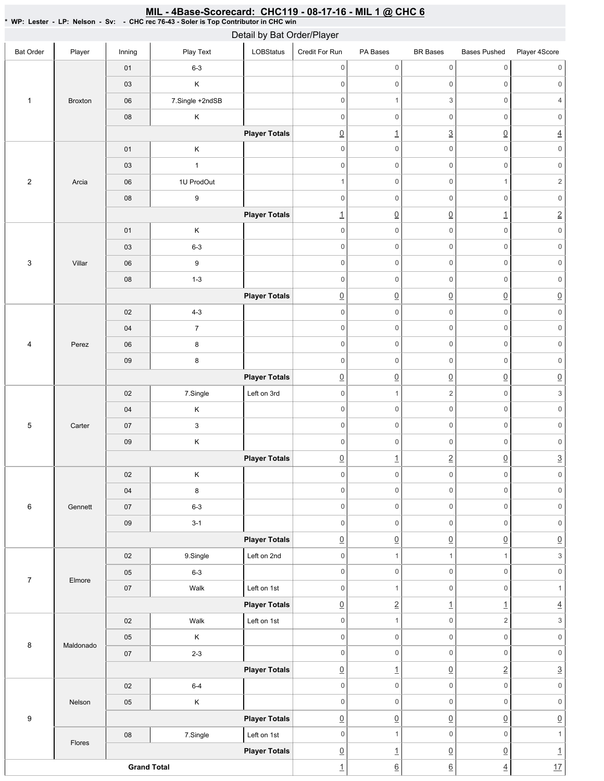|                  |                |                    |                  | Detail by Bat Order/Player |                     |                          |                     |                     |                           |
|------------------|----------------|--------------------|------------------|----------------------------|---------------------|--------------------------|---------------------|---------------------|---------------------------|
| <b>Bat Order</b> | Player         | Inning             | Play Text        | LOBStatus                  | Credit For Run      | PA Bases                 | <b>BR</b> Bases     | <b>Bases Pushed</b> | Player 4Score             |
|                  |                | 01                 | $6 - 3$          |                            | $\mathbf 0$         | $\mathsf{O}\xspace$      | $\mathsf{O}\xspace$ | $\mathsf{O}\xspace$ | $\boldsymbol{0}$          |
|                  |                | 03                 | $\sf K$          |                            | $\mathbf 0$         | $\mathsf{O}\xspace$      | $\mathsf 0$         | $\mathsf{O}\xspace$ | $\mathsf{O}\xspace$       |
| $\mathbf{1}$     | <b>Broxton</b> | ${\bf 06}$         | 7.Single +2ndSB  |                            | $\mathbf 0$         | $\mathbf{1}$             | $\mathfrak{S}$      | $\mathsf{O}\xspace$ | $\overline{4}$            |
|                  |                | ${\bf 08}$         | Κ                |                            | $\mathbf 0$         | $\mathsf{O}\xspace$      | $\mathbf 0$         | $\mathsf{O}\xspace$ | $\mathsf{O}\xspace$       |
|                  |                |                    |                  | <b>Player Totals</b>       | $\underline{0}$     | $\overline{1}$           | $\overline{3}$      | $\underline{0}$     | $\overline{4}$            |
|                  |                | 01                 | $\sf K$          |                            | $\mathbf 0$         | $\mathsf{O}\xspace$      | $\mathsf 0$         | $\mathsf{O}\xspace$ | $\mathsf{O}\xspace$       |
|                  |                | $03\,$             | $\mathbf{1}$     |                            | $\mathsf{O}\xspace$ | $\mathsf{O}\xspace$      | $\mathsf{O}\xspace$ | $\mathsf{O}\xspace$ | $\mathsf{0}$              |
| $\sqrt{2}$       | Arcia          | ${\bf 06}$         | 1U ProdOut       |                            | 1                   | $\mathsf{O}\xspace$      | $\mathsf{O}\xspace$ | $\mathbf{1}$        | $\sqrt{2}$                |
|                  |                | ${\bf 08}$         | $\boldsymbol{9}$ |                            | $\mathbf 0$         | $\mathsf{O}\xspace$      | $\mathsf{O}\xspace$ | $\mathsf{O}\xspace$ | $\mathsf{O}\xspace$       |
|                  |                |                    |                  | <b>Player Totals</b>       | $\overline{1}$      | $\underline{0}$          | $\underline{0}$     | $\overline{1}$      | $\overline{2}$            |
|                  |                | 01                 | $\sf K$          |                            | $\mathbf 0$         | $\mathsf{O}\xspace$      | $\mathsf 0$         | $\mathsf{O}\xspace$ | $\mathsf{O}\xspace$       |
|                  |                | 03                 | $6 - 3$          |                            | $\mathbf 0$         | $\mathsf{O}\xspace$      | $\mathsf 0$         | $\mathsf{O}\xspace$ | $\mathsf{O}\xspace$       |
| $\sqrt{3}$       | Villar         | $06\,$             | $\boldsymbol{9}$ |                            | $\mathbf 0$         | $\mathsf{O}\xspace$      | $\mathsf{O}\xspace$ | $\mathsf{O}\xspace$ | $\mathsf{O}\xspace$       |
|                  |                | ${\bf 08}$         | $1 - 3$          |                            | $\mathbf 0$         | $\mathsf{O}\xspace$      | $\mathsf 0$         | $\mathsf{O}\xspace$ | $\mathsf{O}\xspace$       |
|                  |                |                    |                  | <b>Player Totals</b>       | $\underline{0}$     | $\underline{0}$          | $\underline{0}$     | $\underline{0}$     | $\underline{0}$           |
|                  |                | 02                 | $4 - 3$          |                            | $\mathbf 0$         | $\mathsf{O}\xspace$      | $\mathsf{O}\xspace$ | $\mathsf{O}\xspace$ | $\mathsf{O}\xspace$       |
|                  | Perez          | $04\,$             | $\overline{7}$   |                            | $\mathbf 0$         | $\mathsf{O}\xspace$      | $\mathsf{O}\xspace$ | $\mathsf{O}\xspace$ | $\mathsf 0$               |
| $\overline{4}$   |                | ${\bf 06}$         | 8                |                            | $\mathbf 0$         | $\mathsf{O}\xspace$      | $\mathsf 0$         | $\mathsf{O}\xspace$ | $\mathsf{0}$              |
|                  |                | $09\,$             | $\bf8$           |                            | $\mathbf 0$         | $\mathsf{O}\xspace$      | $\mathsf{O}\xspace$ | $\mathsf{O}\xspace$ | $\mathsf{O}\xspace$       |
|                  |                |                    |                  | <b>Player Totals</b>       | $\underline{0}$     | $\underline{0}$          | $\overline{0}$      | $\underline{0}$     | $\underline{0}$           |
|                  |                | $02\,$             | 7.Single         | Left on 3rd                | $\mathbf 0$         | $\mathbf{1}$             | $\overline{c}$      | $\mathsf{O}\xspace$ | $\ensuremath{\mathsf{3}}$ |
|                  |                | 04                 | Κ                |                            | $\mathbf 0$         | $\mathsf{O}\xspace$      | $\mathsf 0$         | $\mathsf{O}\xspace$ | $\mathsf{O}\xspace$       |
| $\sqrt{5}$       | Carter         | $07\,$             | $\mathsf 3$      |                            | $\mathsf{O}\xspace$ | $\mathsf{O}\xspace$      | $\mathsf 0$         | $\mathsf{O}\xspace$ | $\mathsf{O}\xspace$       |
|                  |                | $09\,$             | $\sf K$          |                            | $\mathbf 0$         | $\mathsf{O}\xspace$      | $\mathsf{O}\xspace$ | $\mathsf{O}\xspace$ | $\mathsf{O}\xspace$       |
|                  |                |                    |                  | <b>Player Totals</b>       | $\underline{0}$     | $\overline{1}$           | $\overline{2}$      | $\underline{0}$     | $\overline{3}$            |
|                  |                | $02\,$             | $\sf K$          |                            | $\mathbf 0$         | $\mathsf{O}\xspace$      | $\mathsf 0$         | $\mathsf{O}$        | $\mathsf{O}\xspace$       |
|                  |                | $04$               | 8                |                            | $\mathbf 0$         | $\mathsf{O}\xspace$      | $\mathsf 0$         | $\mathsf{O}\xspace$ | $\mathsf{O}\xspace$       |
| 6                | Gennett        | $07\,$             | $6 - 3$          |                            | $\mathbf 0$         | $\mathsf{O}\xspace$      | $\mathsf{O}\xspace$ | $\mathsf{O}\xspace$ | $\mathsf{O}\xspace$       |
|                  |                | 09                 | $3 - 1$          |                            | $\mathbf 0$         | $\mathsf{O}\xspace$      | $\mathsf 0$         | $\mathsf{O}\xspace$ | $\mathsf{0}$              |
|                  |                |                    |                  | <b>Player Totals</b>       | $\underline{0}$     | $\underline{0}$          | $\underline{0}$     | $\underline{0}$     | $\underline{0}$           |
|                  |                | 02                 | 9.Single         | Left on 2nd                | $\mathbf 0$         | $\mathbf{1}$             | $\mathbf{1}$        | $\mathbf{1}$        | $\ensuremath{\mathsf{3}}$ |
| $\overline{7}$   | Elmore         | 05                 | $6 - 3$          |                            | $\mathbf 0$         | $\mathsf{O}\xspace$      | $\mathsf 0$         | $\mathsf{O}\xspace$ | $\mathsf{O}\xspace$       |
|                  |                | $07\,$             | Walk             | Left on 1st                | $\mathbf 0$         | $\mathbf{1}$             | $\mathsf 0$         | $\mathsf{O}\xspace$ | $\mathbf{1}$              |
|                  |                |                    |                  | <b>Player Totals</b>       | $\underline{0}$     | $\underline{2}$          | $\overline{1}$      | $\overline{1}$      | $\overline{4}$            |
|                  |                | $02\,$             | Walk             | Left on 1st                | $\mathbf 0$         | $\mathbf{1}$             | $\overline{0}$      | $\overline{2}$      | $\mathsf 3$               |
| 8                | Maldonado      | 05                 | $\sf K$          |                            | $\mathbf 0$         | $\mathsf{O}\xspace$      | $\mathsf 0$         | $\mathsf{O}\xspace$ | $\mathsf{0}$              |
|                  |                | $07\,$             | $2 - 3$          |                            | $\mathbf 0$         | $\mathsf{O}\xspace$      | $\mathsf 0$         | $\mathbf 0$         | $\mathsf{O}\xspace$       |
|                  |                |                    |                  | <b>Player Totals</b>       | $\underline{0}$     | $\underline{\mathbf{1}}$ | $\underline{0}$     | $\underline{2}$     | $\overline{3}$            |
|                  |                | 02                 | $6-4$            |                            | $\mathbf 0$         | $\mathsf{O}\xspace$      | $\mathsf 0$         | $\mathsf{O}\xspace$ | $\mathsf{O}\xspace$       |
|                  | Nelson         | 05                 | $\sf K$          |                            | $\mathbf 0$         | $\mathsf{O}\xspace$      | $\mathsf{O}\xspace$ | $\mathsf{O}\xspace$ | $\mathsf{O}\xspace$       |
| $\boldsymbol{9}$ |                |                    |                  | <b>Player Totals</b>       | $\underline{0}$     | $\underline{0}$          | $\underline{0}$     | $\underline{0}$     | $\underline{0}$           |
|                  | Flores         | ${\bf 08}$         | 7.Single         | Left on 1st                | $\mathbf 0$         | $\mathbf{1}$             | $\mathsf 0$         | $\mathsf{O}\xspace$ | $\mathbf{1}$              |
|                  |                |                    |                  | <b>Player Totals</b>       | $\underline{0}$     | $\overline{1}$           | $\underline{0}$     | $\underline{0}$     | $\overline{1}$            |
|                  |                | <b>Grand Total</b> |                  |                            | $\overline{1}$      | $\underline{6}$          | $\underline{6}$     | $\underline{4}$     | 17                        |

#### <u>MIL - 4Base-Scorecard: CHC119 - 08-17-16 - MIL 1 @ CHC 6</u>

\*WP:Lester-LP:Nelson-Sv: -CHCrec76-43-SolerisTopContributorinCHCwin